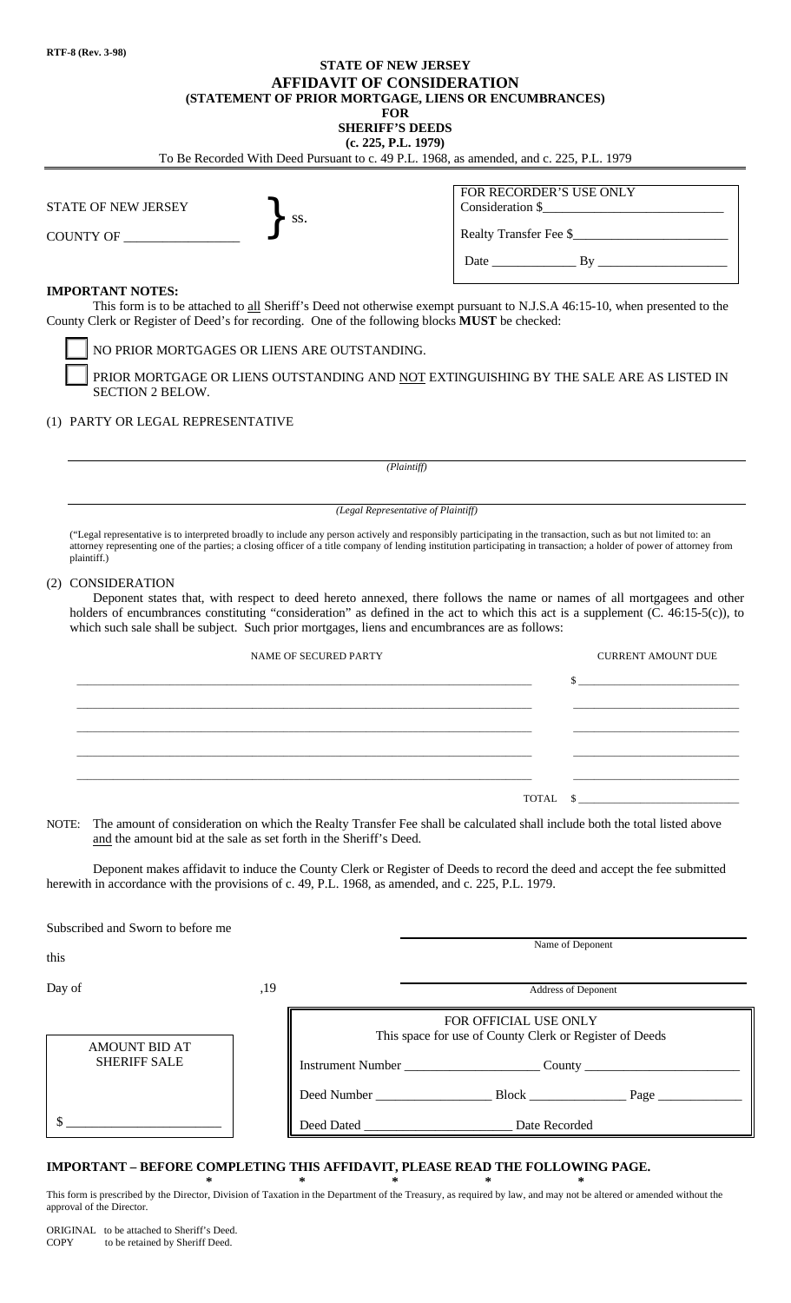## **STATE OF NEW JERSEY AFFIDAVIT OF CONSIDERATION (STATEMENT OF PRIOR MORTGAGE, LIENS OR ENCUMBRANCES)**

| <b>FOR</b><br><b>SHERIFF'S DEEDS</b><br>(c. 225, P.L. 1979)<br>To Be Recorded With Deed Pursuant to c. 49 P.L. 1968, as amended, and c. 225, P.L. 1979                                                                                                                                                                                                                            |                           |  |
|-----------------------------------------------------------------------------------------------------------------------------------------------------------------------------------------------------------------------------------------------------------------------------------------------------------------------------------------------------------------------------------|---------------------------|--|
|                                                                                                                                                                                                                                                                                                                                                                                   |                           |  |
| Realty Transfer Fee \$                                                                                                                                                                                                                                                                                                                                                            |                           |  |
|                                                                                                                                                                                                                                                                                                                                                                                   |                           |  |
| <b>IMPORTANT NOTES:</b><br>This form is to be attached to all Sheriff's Deed not otherwise exempt pursuant to N.J.S.A 46:15-10, when presented to the<br>County Clerk or Register of Deed's for recording. One of the following blocks MUST be checked:                                                                                                                           |                           |  |
| NO PRIOR MORTGAGES OR LIENS ARE OUTSTANDING.                                                                                                                                                                                                                                                                                                                                      |                           |  |
| PRIOR MORTGAGE OR LIENS OUTSTANDING AND NOT EXTINGUISHING BY THE SALE ARE AS LISTED IN<br><b>SECTION 2 BELOW.</b>                                                                                                                                                                                                                                                                 |                           |  |
| (1) PARTY OR LEGAL REPRESENTATIVE                                                                                                                                                                                                                                                                                                                                                 |                           |  |
| (Plaintiff)                                                                                                                                                                                                                                                                                                                                                                       |                           |  |
| (Legal Representative of Plaintiff)                                                                                                                                                                                                                                                                                                                                               |                           |  |
| ("Legal representative is to interpreted broadly to include any person actively and responsibly participating in the transaction, such as but not limited to: an<br>attorney representing one of the parties; a closing officer of a title company of lending institution participating in transaction; a holder of power of attorney from<br>plaintiff.)                         |                           |  |
| (2) CONSIDERATION<br>Deponent states that, with respect to deed hereto annexed, there follows the name or names of all mortgagees and other<br>holders of encumbrances constituting "consideration" as defined in the act to which this act is a supplement (C. 46:15-5(c)), to<br>which such sale shall be subject. Such prior mortgages, liens and encumbrances are as follows: |                           |  |
| <b>NAME OF SECURED PARTY</b>                                                                                                                                                                                                                                                                                                                                                      | <b>CURRENT AMOUNT DUE</b> |  |
|                                                                                                                                                                                                                                                                                                                                                                                   | $S_{-}$                   |  |
|                                                                                                                                                                                                                                                                                                                                                                                   |                           |  |
|                                                                                                                                                                                                                                                                                                                                                                                   |                           |  |
|                                                                                                                                                                                                                                                                                                                                                                                   |                           |  |
|                                                                                                                                                                                                                                                                                                                                                                                   | TOTAL<br>S.               |  |
| The amount of consideration on which the Realty Transfer Fee shall be calculated shall include both the total listed above<br>NOTE:<br>and the amount bid at the sale as set forth in the Sheriff's Deed.                                                                                                                                                                         |                           |  |
| Deponent makes affidavit to induce the County Clerk or Register of Deeds to record the deed and accept the fee submitted<br>herewith in accordance with the provisions of c. 49, P.L. 1968, as amended, and c. 225, P.L. 1979.                                                                                                                                                    |                           |  |
| Subscribed and Sworn to before me                                                                                                                                                                                                                                                                                                                                                 |                           |  |

| this                                        |     | Name of Deponent                                                                                                                                                                                                                                                        |
|---------------------------------------------|-----|-------------------------------------------------------------------------------------------------------------------------------------------------------------------------------------------------------------------------------------------------------------------------|
| Day of                                      | ,19 | Address of Deponent                                                                                                                                                                                                                                                     |
| <b>AMOUNT BID AT</b><br><b>SHERIFF SALE</b> |     | FOR OFFICIAL USE ONLY<br>This space for use of County Clerk or Register of Deeds                                                                                                                                                                                        |
|                                             |     | Instrument Number<br>Deed Number<br><b>Block</b> and the state of the state of the state of the state of the state of the state of the state of the state of the state of the state of the state of the state of the state of the state of the state of the state of th |
|                                             |     | Deed Dated<br>Date Recorded                                                                                                                                                                                                                                             |

## **IMPORTANT – BEFORE COMPLETING THIS AFFIDAVIT, PLEASE READ THE FOLLOWING PAGE.**

**\* \* \* \* \*** This form is prescribed by the Director, Division of Taxation in the Department of the Treasury, as required by law, and may not be altered or amended without the approval of the Director.

ORIGINAL to be attached to Sheriff's Deed.<br>COPY to be retained by Sheriff Deed. to be retained by Sheriff Deed.